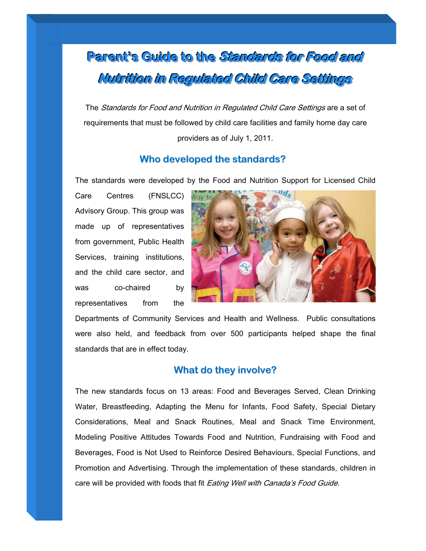# Parent's Guide to the *Standards for Food and* Nutrition in Regulated Child Care Settings

The Standards for Food and Nutrition in Regulated Child Care Settings are a set of requirements that must be followed by child care facilities and family home day care providers as of July 1, 2011.

## **Who developed the standards?**

The standards were developed by the Food and Nutrition Support for Licensed Child

 was co-chaired by Care Centres (FNSLCC) Advisory Group. This group was made up of representatives from government, Public Health Services, training institutions, and the child care sector, and representatives from the



Departments of Community Services and Health and Wellness. Public consultations were also held, and feedback from over 500 participants helped shape the final standards that are in effect today.

## **What do they involve?**

The new standards focus on 13 areas: Food and Beverages Served, Clean Drinking Water, Breastfeeding, Adapting the Menu for Infants, Food Safety, Special Dietary Considerations, Meal and Snack Routines, Meal and Snack Time Environment, Modeling Positive Attitudes Towards Food and Nutrition, Fundraising with Food and Beverages, Food is Not Used to Reinforce Desired Behaviours, Special Functions, and Promotion and Advertising. Through the implementation of these standards, children in care will be provided with foods that fit Eating Well with Canada's Food Guide.